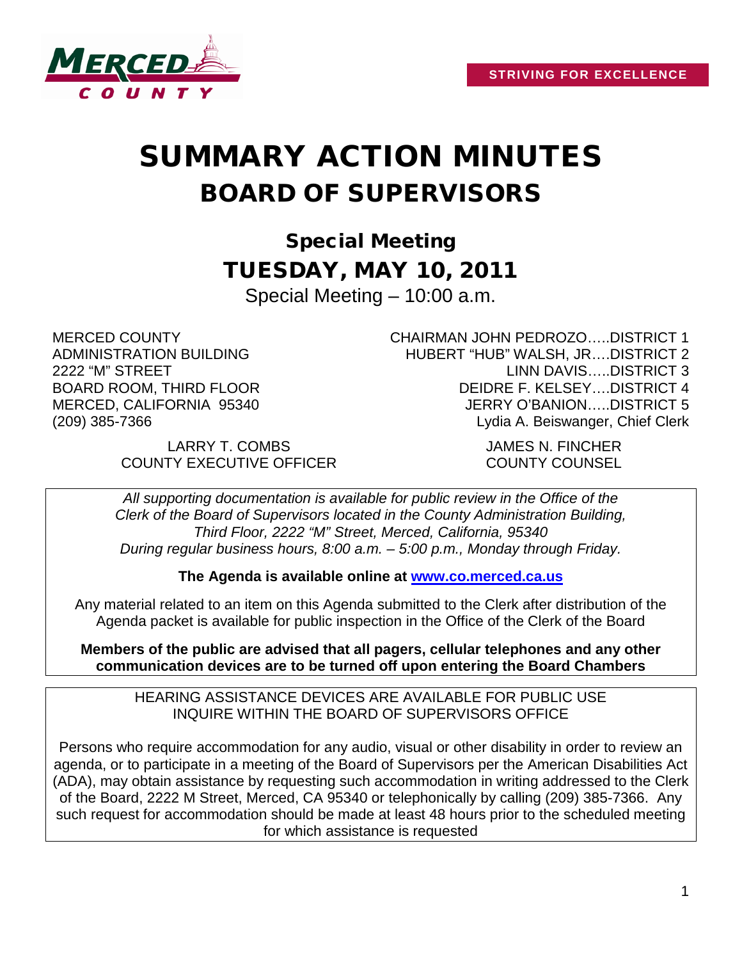

# SUMMARY ACTION MINUTES BOARD OF SUPERVISORS

Special Meeting TUESDAY, MAY 10, 2011 Special Meeting – 10:00 a.m.

MERCED COUNTY ADMINISTRATION BUILDING 2222 "M" STREET BOARD ROOM, THIRD FLOOR MERCED, CALIFORNIA 95340 (209) 385-7366

CHAIRMAN JOHN PEDROZO…..DISTRICT 1 HUBERT "HUB" WALSH, JR….DISTRICT 2 LINN DAVIS…..DISTRICT 3 DEIDRE F. KELSEY….DISTRICT 4 JERRY O'BANION…..DISTRICT 5 Lydia A. Beiswanger, Chief Clerk

LARRY T. COMBS JAMES N. FINCHER COUNTY EXECUTIVE OFFICER COUNTY COUNSEL

*All supporting documentation is available for public review in the Office of the Clerk of the Board of Supervisors located in the County Administration Building, Third Floor, 2222 "M" Street, Merced, California, 95340 During regular business hours, 8:00 a.m. – 5:00 p.m., Monday through Friday.*

**The Agenda is available online at [www.co.merced.ca.us](http://www.co.merced.ca.us/)**

Any material related to an item on this Agenda submitted to the Clerk after distribution of the Agenda packet is available for public inspection in the Office of the Clerk of the Board

**Members of the public are advised that all pagers, cellular telephones and any other communication devices are to be turned off upon entering the Board Chambers**

HEARING ASSISTANCE DEVICES ARE AVAILABLE FOR PUBLIC USE INQUIRE WITHIN THE BOARD OF SUPERVISORS OFFICE

Persons who require accommodation for any audio, visual or other disability in order to review an agenda, or to participate in a meeting of the Board of Supervisors per the American Disabilities Act (ADA), may obtain assistance by requesting such accommodation in writing addressed to the Clerk of the Board, 2222 M Street, Merced, CA 95340 or telephonically by calling (209) 385-7366. Any such request for accommodation should be made at least 48 hours prior to the scheduled meeting for which assistance is requested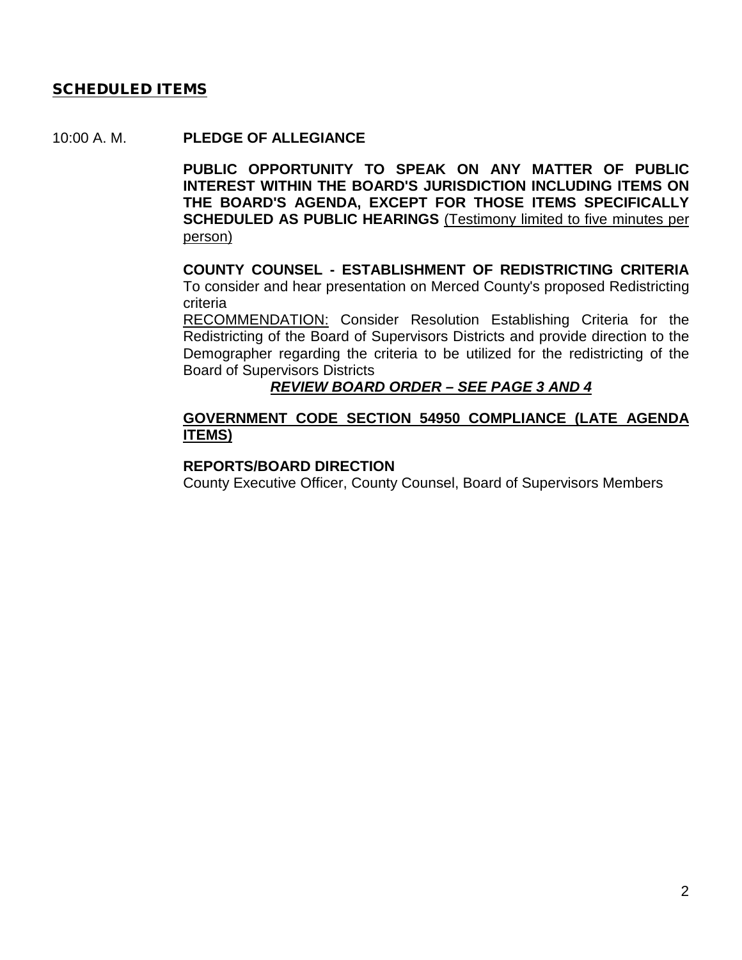## **SCHEDULED ITEMS**

#### 10:00 A. M. **PLEDGE OF ALLEGIANCE**

**PUBLIC OPPORTUNITY TO SPEAK ON ANY MATTER OF PUBLIC INTEREST WITHIN THE BOARD'S JURISDICTION INCLUDING ITEMS ON THE BOARD'S AGENDA, EXCEPT FOR THOSE ITEMS SPECIFICALLY SCHEDULED AS PUBLIC HEARINGS** (Testimony limited to five minutes per person)

#### **COUNTY COUNSEL - ESTABLISHMENT OF REDISTRICTING CRITERIA** To consider and hear presentation on Merced County's proposed Redistricting criteria

RECOMMENDATION: Consider Resolution Establishing Criteria for the Redistricting of the Board of Supervisors Districts and provide direction to the Demographer regarding the criteria to be utilized for the redistricting of the Board of Supervisors Districts

## *REVIEW BOARD ORDER – SEE PAGE 3 AND 4*

## **GOVERNMENT CODE SECTION 54950 COMPLIANCE (LATE AGENDA ITEMS)**

#### **REPORTS/BOARD DIRECTION**

County Executive Officer, County Counsel, Board of Supervisors Members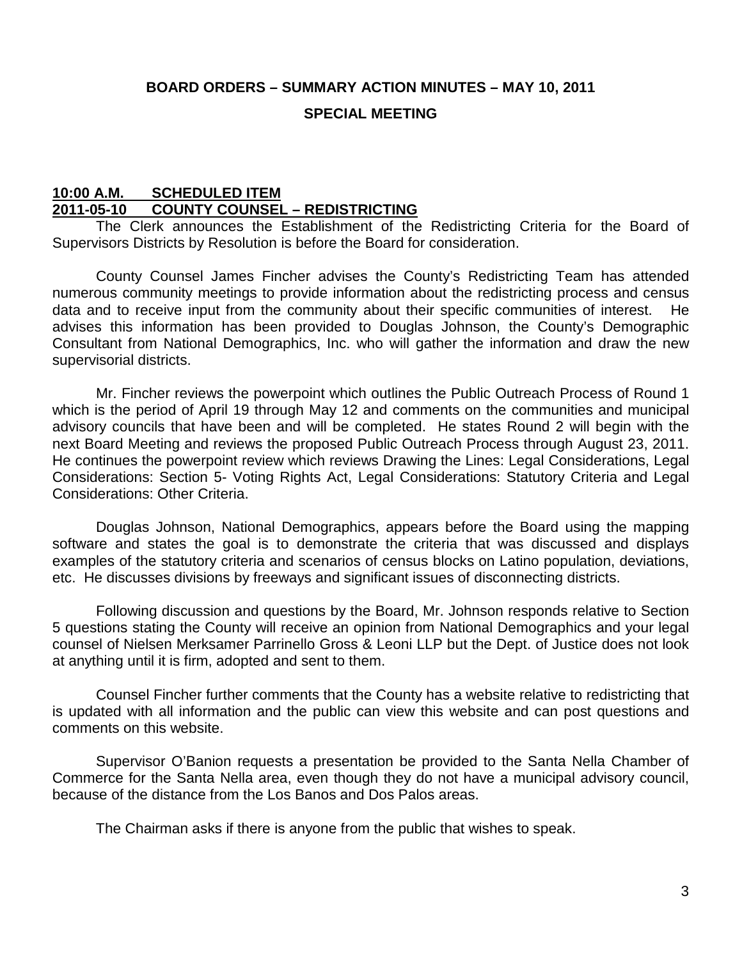## **BOARD ORDERS – SUMMARY ACTION MINUTES – MAY 10, 2011**

### **SPECIAL MEETING**

## **10:00 A.M. SCHEDULED ITEM 2011-05-10 COUNTY COUNSEL – REDISTRICTING**

The Clerk announces the Establishment of the Redistricting Criteria for the Board of Supervisors Districts by Resolution is before the Board for consideration.

County Counsel James Fincher advises the County's Redistricting Team has attended numerous community meetings to provide information about the redistricting process and census data and to receive input from the community about their specific communities of interest. He advises this information has been provided to Douglas Johnson, the County's Demographic Consultant from National Demographics, Inc. who will gather the information and draw the new supervisorial districts.

Mr. Fincher reviews the powerpoint which outlines the Public Outreach Process of Round 1 which is the period of April 19 through May 12 and comments on the communities and municipal advisory councils that have been and will be completed. He states Round 2 will begin with the next Board Meeting and reviews the proposed Public Outreach Process through August 23, 2011. He continues the powerpoint review which reviews Drawing the Lines: Legal Considerations, Legal Considerations: Section 5- Voting Rights Act, Legal Considerations: Statutory Criteria and Legal Considerations: Other Criteria.

Douglas Johnson, National Demographics, appears before the Board using the mapping software and states the goal is to demonstrate the criteria that was discussed and displays examples of the statutory criteria and scenarios of census blocks on Latino population, deviations, etc. He discusses divisions by freeways and significant issues of disconnecting districts.

Following discussion and questions by the Board, Mr. Johnson responds relative to Section 5 questions stating the County will receive an opinion from National Demographics and your legal counsel of Nielsen Merksamer Parrinello Gross & Leoni LLP but the Dept. of Justice does not look at anything until it is firm, adopted and sent to them.

Counsel Fincher further comments that the County has a website relative to redistricting that is updated with all information and the public can view this website and can post questions and comments on this website.

Supervisor O'Banion requests a presentation be provided to the Santa Nella Chamber of Commerce for the Santa Nella area, even though they do not have a municipal advisory council, because of the distance from the Los Banos and Dos Palos areas.

The Chairman asks if there is anyone from the public that wishes to speak.